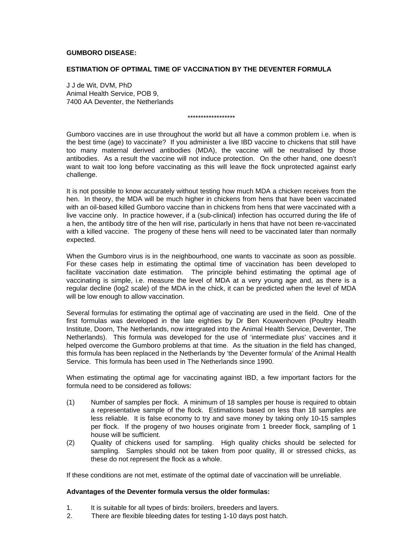### **GUMBORO DISEASE:**

#### **ESTIMATION OF OPTIMAL TIME OF VACCINATION BY THE DEVENTER FORMULA**

J J de Wit, DVM, PhD Animal Health Service, POB 9, 7400 AA Deventer, the Netherlands

\*\*\*\*\*\*\*\*\*\*\*\*\*\*\*\*\*\*

Gumboro vaccines are in use throughout the world but all have a common problem i.e. when is the best time (age) to vaccinate? If you administer a live IBD vaccine to chickens that still have too many maternal derived antibodies (MDA), the vaccine will be neutralised by those antibodies. As a result the vaccine will not induce protection. On the other hand, one doesn't want to wait too long before vaccinating as this will leave the flock unprotected against early challenge.

It is not possible to know accurately without testing how much MDA a chicken receives from the hen. In theory, the MDA will be much higher in chickens from hens that have been vaccinated with an oil-based killed Gumboro vaccine than in chickens from hens that were vaccinated with a live vaccine only. In practice however, if a (sub-clinical) infection has occurred during the life of a hen, the antibody titre of the hen will rise, particularly in hens that have not been re-vaccinated with a killed vaccine. The progeny of these hens will need to be vaccinated later than normally expected.

When the Gumboro virus is in the neighbourhood, one wants to vaccinate as soon as possible. For these cases help in estimating the optimal time of vaccination has been developed to facilitate vaccination date estimation. The principle behind estimating the optimal age of vaccinating is simple, i.e. measure the level of MDA at a very young age and, as there is a regular decline (log2 scale) of the MDA in the chick, it can be predicted when the level of MDA will be low enough to allow vaccination.

Several formulas for estimating the optimal age of vaccinating are used in the field. One of the first formulas was developed in the late eighties by Dr Ben Kouwenhoven (Poultry Health Institute, Doorn, The Netherlands, now integrated into the Animal Health Service, Deventer, The Netherlands). This formula was developed for the use of 'intermediate plus' vaccines and it helped overcome the Gumboro problems at that time. As the situation in the field has changed, this formula has been replaced in the Netherlands by 'the Deventer formula' of the Animal Health Service. This formula has been used in The Netherlands since 1990.

When estimating the optimal age for vaccinating against IBD, a few important factors for the formula need to be considered as follows:

- (1) Number of samples per flock. A minimum of 18 samples per house is required to obtain a representative sample of the flock. Estimations based on less than 18 samples are less reliable. It is false economy to try and save money by taking only 10-15 samples per flock. If the progeny of two houses originate from 1 breeder flock, sampling of 1 house will be sufficient.
- (2) Quality of chickens used for sampling. High quality chicks should be selected for sampling. Samples should not be taken from poor quality, ill or stressed chicks, as these do not represent the flock as a whole.

If these conditions are not met, estimate of the optimal date of vaccination will be unreliable.

#### **Advantages of the Deventer formula versus the older formulas:**

- 1. It is suitable for all types of birds: broilers, breeders and layers.
- 2. 2. There are flexible bleeding dates for testing 1-10 days post hatch. There are flexible bleeding dates for testing, 1-10 days post hatch.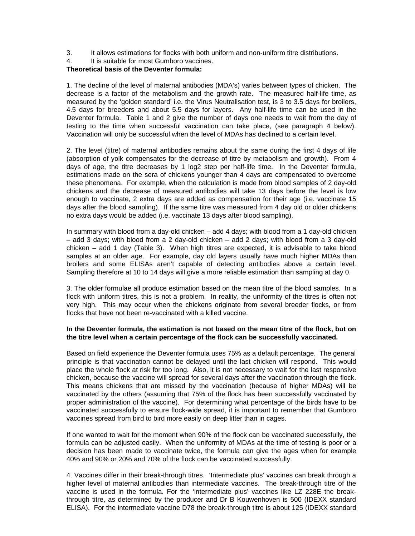- 3. It allows estimations for flocks with both uniform and non-uniform titre distributions.
- 4. It is suitable for most Gumboro vaccines.

## **Theoretical basis of the Deventer formula:**

1. The decline of the level of maternal antibodies (MDA's) varies between types of chicken. The decrease is a factor of the metabolism and the growth rate. The measured half-life time, as measured by the 'golden standard' i.e. the Virus Neutralisation test, is 3 to 3.5 days for broilers, 4.5 days for breeders and about 5.5 days for layers. Any half-life time can be used in the Deventer formula. Table 1 and 2 give the number of days one needs to wait from the day of testing to the time when successful vaccination can take place, (see paragraph 4 below). Vaccination will only be successful when the level of MDAs has declined to a certain level.

2. The level (titre) of maternal antibodies remains about the same during the first 4 days of life (absorption of yolk compensates for the decrease of titre by metabolism and growth). From 4 days of age, the titre decreases by 1 log2 step per half-life time. In the Deventer formula, estimations made on the sera of chickens younger than 4 days are compensated to overcome these phenomena. For example, when the calculation is made from blood samples of 2 day-old chickens and the decrease of measured antibodies will take 13 days before the level is low enough to vaccinate, 2 extra days are added as compensation for their age (i.e. vaccinate 15 days after the blood sampling). If the same titre was measured from 4 day old or older chickens no extra days would be added (i.e. vaccinate 13 days after blood sampling).

In summary with blood from a day-old chicken – add 4 days; with blood from a 1 day-old chicken – add 3 days; with blood from a 2 day-old chicken – add 2 days; with blood from a 3 day-old chicken – add 1 day (Table 3). When high titres are expected, it is advisable to take blood samples at an older age. For example, day old layers usually have much higher MDAs than broilers and some ELISAs aren't capable of detecting antibodies above a certain level. Sampling therefore at 10 to 14 days will give a more reliable estimation than sampling at day 0.

3. The older formulae all produce estimation based on the mean titre of the blood samples. In a flock with uniform titres, this is not a problem. In reality, the uniformity of the titres is often not very high. This may occur when the chickens originate from several breeder flocks, or from flocks that have not been re-vaccinated with a killed vaccine.

#### **In the Deventer formula, the estimation is not based on the mean titre of the flock, but on the titre level when a certain percentage of the flock can be successfully vaccinated.**

Based on field experience the Deventer formula uses 75% as a default percentage. The general principle is that vaccination cannot be delayed until the last chicken will respond. This would place the whole flock at risk for too long. Also, it is not necessary to wait for the last responsive chicken, because the vaccine will spread for several days after the vaccination through the flock. This means chickens that are missed by the vaccination (because of higher MDAs) will be vaccinated by the others (assuming that 75% of the flock has been successfully vaccinated by proper administration of the vaccine). For determining what percentage of the birds have to be vaccinated successfully to ensure flock-wide spread, it is important to remember that Gumboro vaccines spread from bird to bird more easily on deep litter than in cages.

If one wanted to wait for the moment when 90% of the flock can be vaccinated successfully, the formula can be adjusted easily. When the uniformity of MDAs at the time of testing is poor or a decision has been made to vaccinate twice, the formula can give the ages when for example 40% and 90% or 20% and 70% of the flock can be vaccinated successfully.

4. Vaccines differ in their break-through titres. 'Intermediate plus' vaccines can break through a higher level of maternal antibodies than intermediate vaccines. The break-through titre of the vaccine is used in the formula. For the 'intermediate plus' vaccines like LZ 228E the breakthrough titre, as determined by the producer and Dr B Kouwenhoven is 500 (IDEXX standard ELISA). For the intermediate vaccine D78 the break-through titre is about 125 (IDEXX standard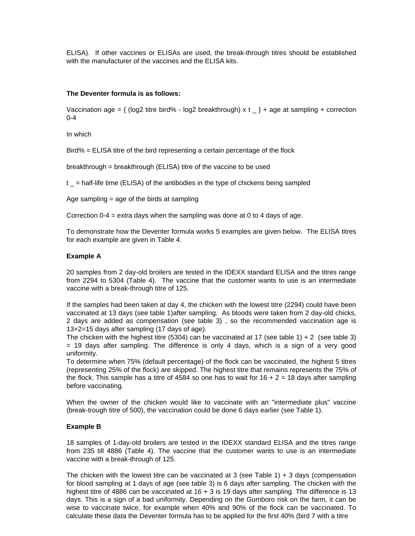ELISA). If other vaccines or ELISAs are used, the break-through titres should be established with the manufacturer of the vaccines and the ELISA kits.

### **The Deventer formula is as follows:**

Vaccination age =  $\{$  (log2 titre bird% - log2 breakthrough) x t  $\_$  + age at sampling + correction 0-4

In which

Bird% = ELISA titre of the bird representing a certain percentage of the flock

breakthrough = breakthrough (ELISA) titre of the vaccine to be used

 $t =$  half-life time (ELISA) of the antibodies in the type of chickens being sampled

Age sampling = age of the birds at sampling

Correction 0-4 = extra days when the sampling was done at 0 to 4 days of age.

To demonstrate how the Deventer formula works 5 examples are given below. The ELISA titres for each example are given in Table 4.

#### **Example A**

20 samples from 2 day-old broilers are tested in the IDEXX standard ELISA and the titres range from 2294 to 5304 (Table 4). The vaccine that the customer wants to use is an intermediate vaccine with a break-through titre of 125.

If the samples had been taken at day 4, the chicken with the lowest titre (2294) could have been vaccinated at 13 days (see table 1)after sampling. As bloods were taken from 2 day-old chicks, 2 days are added as compensation (see table 3) , so the recommended vaccination age is 13+2=15 days after sampling (17 days of age).

The chicken with the highest titre (5304) can be vaccinated at 17 (see table 1) + 2 (see table 3) = 19 days after sampling. The difference is only 4 days, which is a sign of a very good uniformity.

To determine when 75% (default percentage) of the flock can be vaccinated, the highest 5 titres (representing 25% of the flock) are skipped. The highest titre that remains represents the 75% of the flock. This sample has a titre of 4584 so one has to wait for  $16 + 2 = 18$  days after sampling before vaccinating.

When the owner of the chicken would like to vaccinate with an "intermediate plus" vaccine (break-trough titre of 500), the vaccination could be done 6 days earlier (see Table 1).

#### **Example B**

18 samples of 1-day-old broilers are tested in the IDEXX standard ELISA and the titres range from 235 till 4886 (Table 4). The vaccine that the customer wants to use is an intermediate vaccine with a break-through of 125.

The chicken with the lowest titre can be vaccinated at 3 (see Table 1) + 3 days (compensation for blood sampling at 1 days of age (see table 3) is 6 days after sampling. The chicken with the highest titre of 4886 can be vaccinated at 16 + 3 is 19 days after sampling. The difference is 13 days. This is a sign of a bad uniformity. Depending on the Gumboro risk on the farm, it can be wise to vaccinate twice, for example when 40% and 90% of the flock can be vaccinated. To calculate these data the Deventer formula has to be applied for the first 40% (bird 7 with a titre calculate these data, the Deventer formula has to be applied for the first 40% (bird 7 with a titre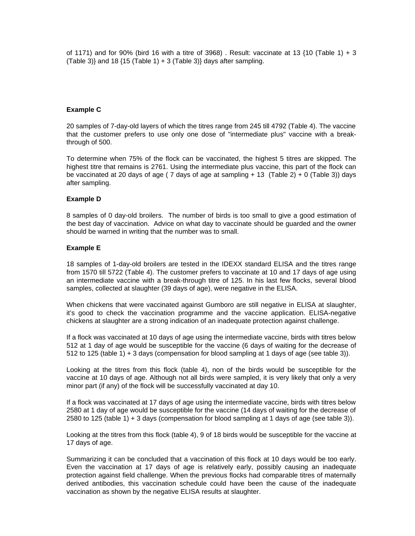of 1171) and for 90% (bird 16 with a titre of 3968). Result: vaccinate at 13  $\{10 \text{ (Table 1)} + 3\}$ (Table 3) and 18  $\{15 \text{ (Table 1)} + 3 \text{ (Table 3)}\}$  days after sampling.

#### **Example C**

20 samples of 7-day-old layers of which the titres range from 245 till 4792 (Table 4). The vaccine that the customer prefers to use only one dose of "intermediate plus" vaccine with a breakthrough of 500.

To determine when 75% of the flock can be vaccinated, the highest 5 titres are skipped. The highest titre that remains is 2761. Using the intermediate plus vaccine, this part of the flock can be vaccinated at 20 days of age ( 7 days of age at sampling + 13 (Table 2) + 0 (Table 3)) days after sampling.

#### **Example D**

8 samples of 0 day-old broilers. The number of birds is too small to give a good estimation of the best day of vaccination. Advice on what day to vaccinate should be guarded and the owner should be warned in writing that the number was to small.

#### **Example E**

18 samples of 1-day-old broilers are tested in the IDEXX standard ELISA and the titres range from 1570 till 5722 (Table 4). The customer prefers to vaccinate at 10 and 17 days of age using an intermediate vaccine with a break-through titre of 125. In his last few flocks, several blood samples, collected at slaughter (39 days of age), were negative in the ELISA.

When chickens that were vaccinated against Gumboro are still negative in ELISA at slaughter, it's good to check the vaccination programme and the vaccine application. ELISA-negative chickens at slaughter are a strong indication of an inadequate protection against challenge.

If a flock was vaccinated at 10 days of age using the intermediate vaccine, birds with titres below 512 at 1 day of age would be susceptible for the vaccine (6 days of waiting for the decrease of 512 to 125 (table 1) + 3 days (compensation for blood sampling at 1 days of age (see table 3)).

Looking at the titres from this flock (table 4), non of the birds would be susceptible for the vaccine at 10 days of age. Although not all birds were sampled, it is very likely that only a very minor part (if any) of the flock will be successfully vaccinated at day 10.

If a flock was vaccinated at 17 days of age using the intermediate vaccine, birds with titres below 2580 at 1 day of age would be susceptible for the vaccine (14 days of waiting for the decrease of 2580 to 125 (table 1) + 3 days (compensation for blood sampling at 1 days of age (see table 3)).

Looking at the titres from this flock (table 4), 9 of 18 birds would be susceptible for the vaccine at 17 days of age.

Summarizing it can be concluded that a vaccination of this flock at 10 days would be too early. Even the vaccination at 17 days of age is relatively early, possibly causing an inadequate protection against field challenge. When the previous flocks had comparable titres of maternally derived antibodies, this vaccination schedule could have been the cause of the inadequate vaccination as shown by the negative ELISA results at slaughter.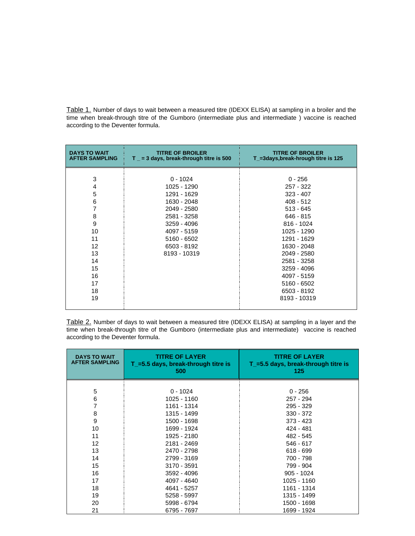Table 1. Number of days to wait between a measured titre (IDEXX ELISA) at sampling in a broiler and the time when break-through titre of the Gumboro (intermediate plus and intermediate ) vaccine is reached according to the Deventer formula.

| <b>DAYS TO WAIT</b><br><b>AFTER SAMPLING</b> | <b>TITRE OF BROILER</b><br>$T_{-}$ = 3 days, break-through titre is 500 | <b>TITRE OF BROILER</b><br>T_=3days,break-hrough titre is 125 |  |  |
|----------------------------------------------|-------------------------------------------------------------------------|---------------------------------------------------------------|--|--|
|                                              |                                                                         |                                                               |  |  |
| 3                                            | $0 - 1024$                                                              | $0 - 256$                                                     |  |  |
| 4                                            | 1025 - 1290                                                             | 257 - 322                                                     |  |  |
| 5                                            | 1291 - 1629                                                             | $323 - 407$                                                   |  |  |
| 6                                            | 1630 - 2048                                                             | $408 - 512$                                                   |  |  |
| 7                                            | 2049 - 2580                                                             | $513 - 645$                                                   |  |  |
| 8                                            | 2581 - 3258                                                             | 646 - 815                                                     |  |  |
| 9                                            | 3259 - 4096                                                             | 816 - 1024                                                    |  |  |
| 10                                           | 4097 - 5159                                                             | 1025 - 1290                                                   |  |  |
| 11                                           | 5160 - 6502                                                             | 1291 - 1629                                                   |  |  |
| 12                                           | 6503 - 8192                                                             | 1630 - 2048                                                   |  |  |
| 13                                           | 8193 - 10319                                                            | 2049 - 2580                                                   |  |  |
| 14                                           |                                                                         | 2581 - 3258                                                   |  |  |
| 15                                           |                                                                         | 3259 - 4096                                                   |  |  |
| 16                                           |                                                                         | 4097 - 5159                                                   |  |  |
| 17                                           |                                                                         | 5160 - 6502                                                   |  |  |
| 18                                           |                                                                         | 6503 - 8192                                                   |  |  |
| 19                                           |                                                                         | 8193 - 10319                                                  |  |  |
|                                              |                                                                         |                                                               |  |  |

Table 2. Number of days to wait between a measured titre (IDEXX ELISA) at sampling in a layer and the time when break-through titre of the Gumboro (intermediate plus and intermediate) vaccine is reached according to the Deventer formula.

| <b>DAYS TO WAIT</b><br><b>AFTER SAMPLING</b> | <b>TITRE OF LAYER</b><br>$T$ =5.5 days, break-through titre is<br>500 | <b>TITRE OF LAYER</b><br>$T$ =5.5 days, break-through titre is<br>125 |
|----------------------------------------------|-----------------------------------------------------------------------|-----------------------------------------------------------------------|
|                                              |                                                                       |                                                                       |
| 5                                            | $0 - 1024$                                                            | $0 - 256$                                                             |
| 6                                            | 1025 - 1160                                                           | 257 - 294                                                             |
| 7                                            | 1161 - 1314                                                           | 295 - 329                                                             |
| 8                                            | 1315 - 1499                                                           | $330 - 372$                                                           |
| 9                                            | 1500 - 1698                                                           | 373 - 423                                                             |
| 10                                           | 1699 - 1924                                                           | 424 - 481                                                             |
| 11                                           | 1925 - 2180                                                           | 482 - 545                                                             |
| 12                                           | 2181 - 2469                                                           | $546 - 617$                                                           |
| 13                                           | 2470 - 2798                                                           | $618 - 699$                                                           |
| 14                                           | 2799 - 3169                                                           | 700 - 798                                                             |
| 15                                           | 3170 - 3591                                                           | 799 - 904                                                             |
| 16                                           | 3592 - 4096                                                           | $905 - 1024$                                                          |
| 17                                           | 4097 - 4640                                                           | 1025 - 1160                                                           |
| 18                                           | 4641 - 5257                                                           | 1161 - 1314                                                           |
| 19                                           | 5258 - 5997                                                           | 1315 - 1499                                                           |
| 20                                           | 5998 - 6794                                                           | 1500 - 1698                                                           |
| 21                                           | 6795 - 7697                                                           | 1699 - 1924                                                           |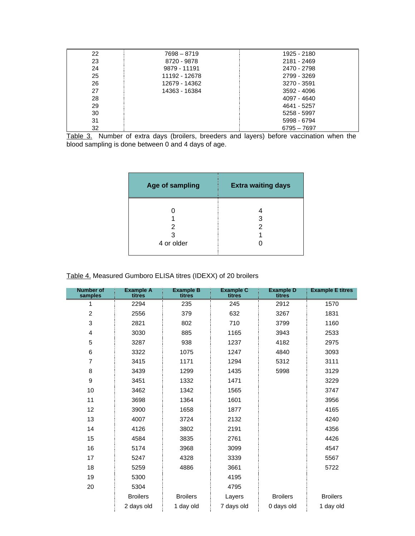| 22 | 7698 - 8719   | 1925 - 2180 |
|----|---------------|-------------|
| 23 | 8720 - 9878   | 2181 - 2469 |
| 24 | 9879 - 11191  | 2470 - 2798 |
| 25 | 11192 - 12678 | 2799 - 3269 |
| 26 | 12679 - 14362 | 3270 - 3591 |
| 27 | 14363 - 16384 | 3592 - 4096 |
| 28 |               | 4097 - 4640 |
| 29 |               | 4641 - 5257 |
| 30 |               | 5258 - 5997 |
| 31 |               | 5998 - 6794 |
| 32 |               | 6795 - 7697 |

Table 3. Number of extra days (broilers, breeders and layers) before vaccination when the blood sampling is done between 0 and 4 days of age.

| Age of sampling      | <b>Extra waiting days</b> |  |  |
|----------------------|---------------------------|--|--|
| 2<br>3<br>4 or older | 3<br>2                    |  |  |

# Table 4. Measured Gumboro ELISA titres (IDEXX) of 20 broilers

| <b>Number of</b><br>samples | <b>Example A</b><br>titres | <b>Example B</b><br>titres | <b>Example C</b><br>titres | <b>Example D</b><br>titres | <b>Example E titres</b> |
|-----------------------------|----------------------------|----------------------------|----------------------------|----------------------------|-------------------------|
| 1                           | 2294                       | 235                        | 245                        | 2912                       | 1570                    |
| $\overline{c}$              | 2556                       | 379                        | 632                        | 3267                       | 1831                    |
| 3                           | 2821                       | 802                        | 710                        | 3799                       | 1160                    |
| 4                           | 3030                       | 885                        | 1165                       | 3943                       | 2533                    |
| 5                           | 3287                       | 938                        | 1237                       | 4182                       | 2975                    |
| 6                           | 3322                       | 1075                       | 1247                       | 4840                       | 3093                    |
| $\overline{7}$              | 3415                       | 1171                       | 1294                       | 5312                       | 3111                    |
| 8                           | 3439                       | 1299                       | 1435                       | 5998                       | 3129                    |
| $\mathsf g$                 | 3451                       | 1332                       | 1471                       |                            | 3229                    |
| 10                          | 3462                       | 1342                       | 1565                       |                            | 3747                    |
| 11                          | 3698                       | 1364                       | 1601                       |                            | 3956                    |
| 12                          | 3900                       | 1658                       | 1877                       |                            | 4165                    |
| 13                          | 4007                       | 3724                       | 2132                       |                            | 4240                    |
| 14                          | 4126                       | 3802                       | 2191                       |                            | 4356                    |
| 15                          | 4584                       | 3835                       | 2761                       |                            | 4426                    |
| 16                          | 5174                       | 3968                       | 3099                       |                            | 4547                    |
| 17                          | 5247                       | 4328                       | 3339                       |                            | 5567                    |
| 18                          | 5259                       | 4886                       | 3661                       |                            | 5722                    |
| 19                          | 5300                       |                            | 4195                       |                            |                         |
| 20                          | 5304                       |                            | 4795                       |                            |                         |
|                             | <b>Broilers</b>            | <b>Broilers</b>            | Layers                     | <b>Broilers</b>            | <b>Broilers</b>         |
|                             | 2 days old                 | 1 day old                  | 7 days old                 | 0 days old                 | 1 day old               |